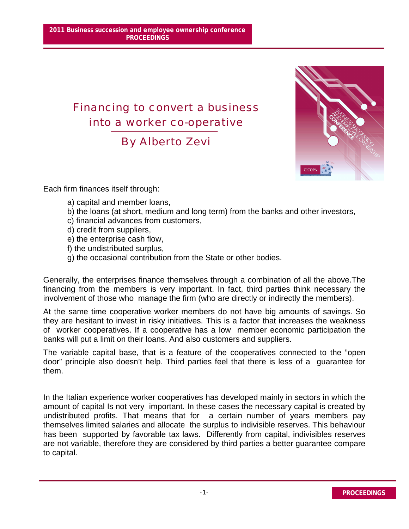## Financing to convert a business into a worker co-operative

By Alberto Zevi



Each firm finances itself through:

- a) capital and member loans,
- b) the loans (at short, medium and long term) from the banks and other investors,
- c) financial advances from customers,
- d) credit from suppliers,
- e) the enterprise cash flow,
- f) the undistributed surplus,
- g) the occasional contribution from the State or other bodies.

Generally, the enterprises finance themselves through a combination of all the above.The financing from the members is very important. In fact, third parties think necessary the involvement of those who manage the firm (who are directly or indirectly the members).

At the same time cooperative worker members do not have big amounts of savings. So they are hesitant to invest in risky initiatives. This is a factor that increases the weakness of worker cooperatives. If a cooperative has a low member economic participation the banks will put a limit on their loans. And also customers and suppliers.

The variable capital base, that is a feature of the cooperatives connected to the "open door" principle also doesn't help. Third parties feel that there is less of a guarantee for them.

In the Italian experience worker cooperatives has developed mainly in sectors in which the amount of capital Is not very important. In these cases the necessary capital is created by undistributed profits. That means that for a certain number of years members pay themselves limited salaries and allocate the surplus to indivisible reserves. This behaviour has been supported by favorable tax laws. Differently from capital, indivisibles reserves are not variable, therefore they are considered by third parties a better guarantee compare to capital.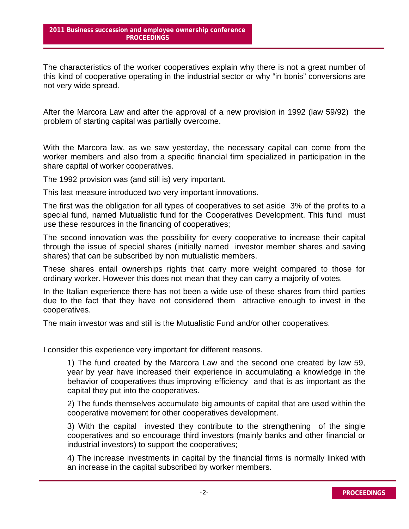The characteristics of the worker cooperatives explain why there is not a great number of this kind of cooperative operating in the industrial sector or why "in bonis" conversions are not very wide spread.

After the Marcora Law and after the approval of a new provision in 1992 (law 59/92) the problem of starting capital was partially overcome.

With the Marcora law, as we saw yesterday, the necessary capital can come from the worker members and also from a specific financial firm specialized in participation in the share capital of worker cooperatives.

The 1992 provision was (and still is) very important.

This last measure introduced two very important innovations.

The first was the obligation for all types of cooperatives to set aside 3% of the profits to a special fund, named Mutualistic fund for the Cooperatives Development. This fund must use these resources in the financing of cooperatives;

The second innovation was the possibility for every cooperative to increase their capital through the issue of special shares (initially named investor member shares and saving shares) that can be subscribed by non mutualistic members.

These shares entail ownerships rights that carry more weight compared to those for ordinary worker. However this does not mean that they can carry a majority of votes.

In the Italian experience there has not been a wide use of these shares from third parties due to the fact that they have not considered them attractive enough to invest in the cooperatives.

The main investor was and still is the Mutualistic Fund and/or other cooperatives.

I consider this experience very important for different reasons.

1) The fund created by the Marcora Law and the second one created by law 59, year by year have increased their experience in accumulating a knowledge in the behavior of cooperatives thus improving efficiency and that is as important as the capital they put into the cooperatives.

2) The funds themselves accumulate big amounts of capital that are used within the cooperative movement for other cooperatives development.

3) With the capital invested they contribute to the strengthening of the single cooperatives and so encourage third investors (mainly banks and other financial or industrial investors) to support the cooperatives;

4) The increase investments in capital by the financial firms is normally linked with an increase in the capital subscribed by worker members.